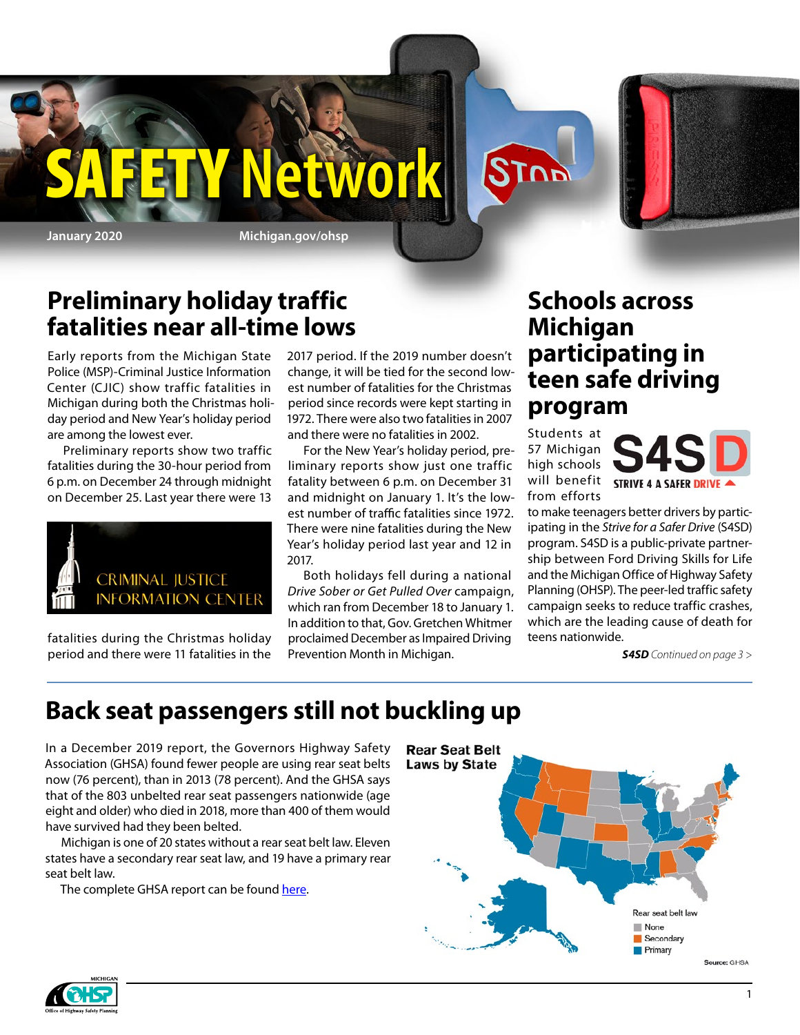

**January 2020 Michigan.gov/ohsp**

Y Network

### **Preliminary holiday traffic fatalities near all-time lows**

Early reports from the Michigan State Police (MSP)-Criminal Justice Information Center (CJIC) show traffic fatalities in Michigan during both the Christmas holiday period and New Year's holiday period are among the lowest ever.

Preliminary reports show two traffic fatalities during the 30-hour period from 6 p.m. on December 24 through midnight on December 25. Last year there were 13



fatalities during the Christmas holiday period and there were 11 fatalities in the 2017 period. If the 2019 number doesn't change, it will be tied for the second lowest number of fatalities for the Christmas period since records were kept starting in 1972. There were also two fatalities in 2007 and there were no fatalities in 2002.

For the New Year's holiday period, preliminary reports show just one traffic fatality between 6 p.m. on December 31 and midnight on January 1. It's the lowest number of traffic fatalities since 1972. There were nine fatalities during the New Year's holiday period last year and 12 in 2017.

Both holidays fell during a national *Drive Sober or Get Pulled Over* campaign, which ran from December 18 to January 1. In addition to that, Gov. Gretchen Whitmer proclaimed December as Impaired Driving Prevention Month in Michigan.

### **Schools across Michigan participating in teen safe driving program**

Students at 57 Michigan high schools from efforts

STOP



to make teenagers better drivers by participating in the *Strive for a Safer Drive* (S4SD) program. S4SD is a public-private partnership between Ford Driving Skills for Life and the Michigan Office of Highway Safety Planning (OHSP). The peer-led traffic safety campaign seeks to reduce traffic crashes, which are the leading cause of death for teens nationwide.

*S4SD Continued on page 3 >*

### **Back seat passengers still not buckling up**

In a December 2019 report, the Governors Highway Safety Association (GHSA) found fewer people are using rear seat belts now (76 percent), than in 2013 (78 percent). And the GHSA says that of the 803 unbelted rear seat passengers nationwide (age eight and older) who died in 2018, more than 400 of them would have survived had they been belted.

Michigan is one of 20 states without a rear seat belt law. Eleven states have a secondary rear seat law, and 19 have a primary rear seat belt law.

The complete GHSA report can be found [here.](https://www.ghsa.org/sites/default/files/2019-11/SpotlightSeatbelts2019H2.pdf)



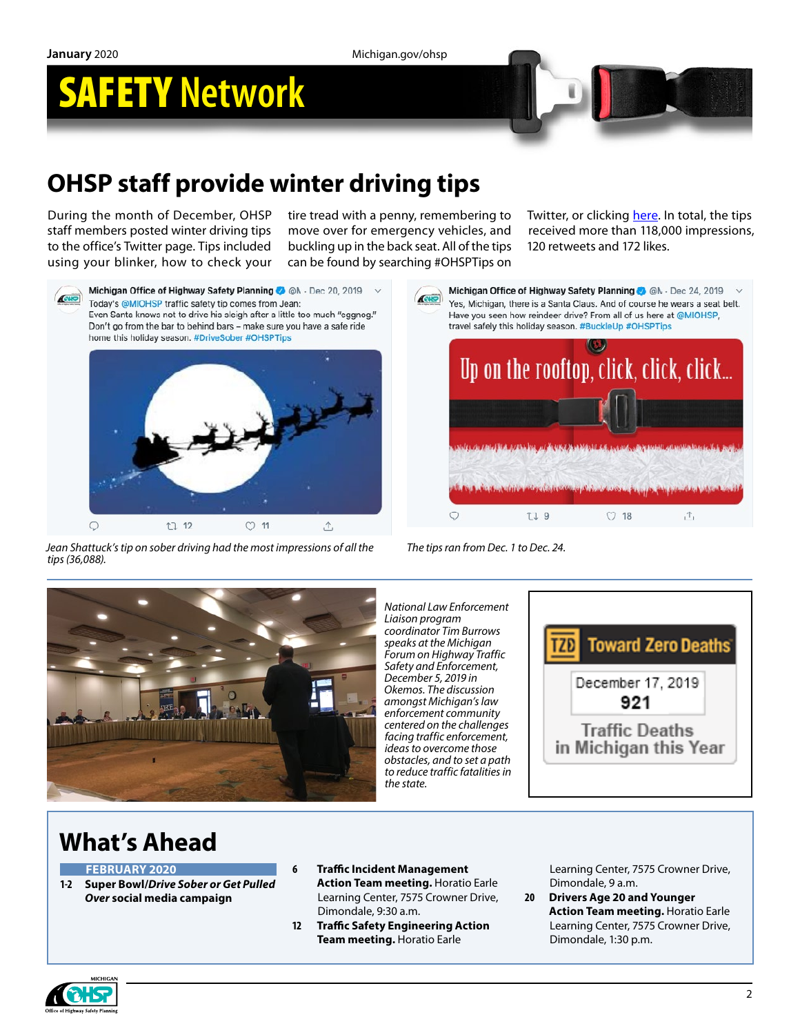**January** 2020 Michigan.gov/ohsp

# SAFETY **Network**



## **OHSP staff provide winter driving tips**

During the month of December, OHSP staff members posted winter driving tips to the office's Twitter page. Tips included using your blinker, how to check your tire tread with a penny, remembering to move over for emergency vehicles, and buckling up in the back seat. All of the tips can be found by searching #OHSPTips on

Twitter, or clicking [here.](https://twitter.com/search?q=%23ohsptips&src=typd) In total, the tips received more than 118,000 impressions, 120 retweets and 172 likes.



Michigan Office of Highway Safety Planning @ @ N - Dec 20, 2019 Today's @MIOHSP traffic safety tip comes from Jean: Even Santa knows not to drive his sleigh after a little too much "eggnog." Don't go from the bar to behind bars - make sure you have a safe ride home this holiday season. #DriveSober #OHSPTips



*Jean Shattuck's tip on sober driving had the most impressions of all the tips (36,088).* 



*The tips ran from Dec. 1 to Dec. 24.*



*National Law Enforcement Liaison program coordinator Tim Burrows speaks at the Michigan Forum on Highway Traffic Safety and Enforcement, December 5, 2019 in Okemos. The discussion amongst Michigan's law enforcement community centered on the challenges facing traffic enforcement, ideas to overcome those obstacles, and to set a path to reduce traffic fatalities in the state.*



### **What's Ahead**

#### **FEBRUARY 2020**

- **1-2 Super Bowl/***Drive Sober or Get Pulled Over* **social media campaign**
- **6 Traffic Incident Management Action Team meeting.** Horatio Earle Learning Center, 7575 Crowner Drive, Dimondale, 9:30 a.m.
- **12 Traffic Safety Engineering Action Team meeting.** Horatio Earle

Learning Center, 7575 Crowner Drive, Dimondale, 9 a.m.

**20 Drivers Age 20 and Younger Action Team meeting.** Horatio Earle Learning Center, 7575 Crowner Drive, Dimondale, 1:30 p.m.

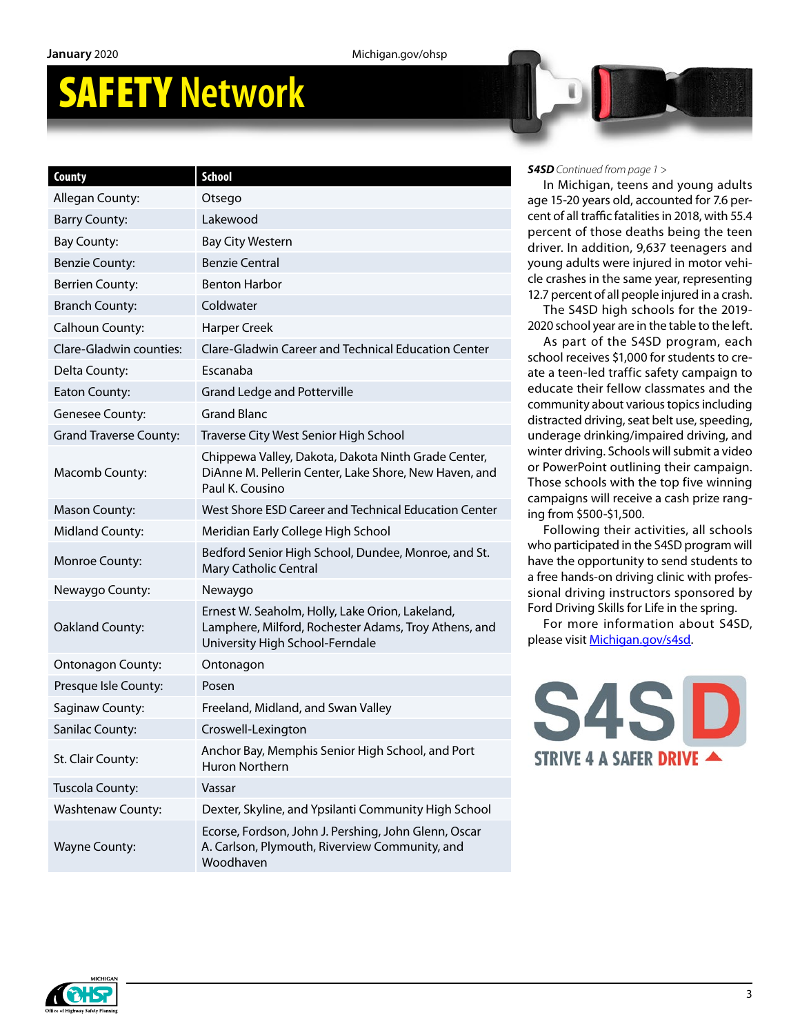# SAFETY **Network**

| County                        | <b>School</b>                                                                                                                              |
|-------------------------------|--------------------------------------------------------------------------------------------------------------------------------------------|
| Allegan County:               | Otsego                                                                                                                                     |
| <b>Barry County:</b>          | Lakewood                                                                                                                                   |
| <b>Bay County:</b>            | <b>Bay City Western</b>                                                                                                                    |
| <b>Benzie County:</b>         | <b>Benzie Central</b>                                                                                                                      |
| <b>Berrien County:</b>        | Benton Harbor                                                                                                                              |
| <b>Branch County:</b>         | Coldwater                                                                                                                                  |
| Calhoun County:               | <b>Harper Creek</b>                                                                                                                        |
| Clare-Gladwin counties:       | Clare-Gladwin Career and Technical Education Center                                                                                        |
| Delta County:                 | Escanaba                                                                                                                                   |
| Eaton County:                 | <b>Grand Ledge and Potterville</b>                                                                                                         |
| Genesee County:               | <b>Grand Blanc</b>                                                                                                                         |
| <b>Grand Traverse County:</b> | Traverse City West Senior High School                                                                                                      |
| Macomb County:                | Chippewa Valley, Dakota, Dakota Ninth Grade Center,<br>DiAnne M. Pellerin Center, Lake Shore, New Haven, and<br>Paul K. Cousino            |
| <b>Mason County:</b>          | West Shore ESD Career and Technical Education Center                                                                                       |
| <b>Midland County:</b>        | Meridian Early College High School                                                                                                         |
| Monroe County:                | Bedford Senior High School, Dundee, Monroe, and St.<br>Mary Catholic Central                                                               |
| Newaygo County:               | Newaygo                                                                                                                                    |
| Oakland County:               | Ernest W. Seaholm, Holly, Lake Orion, Lakeland,<br>Lamphere, Milford, Rochester Adams, Troy Athens, and<br>University High School-Ferndale |
| <b>Ontonagon County:</b>      | Ontonagon                                                                                                                                  |
| Presque Isle County:          | Posen                                                                                                                                      |
| Saginaw County:               | Freeland, Midland, and Swan Valley                                                                                                         |
| Sanilac County:               | Croswell-Lexington                                                                                                                         |
| St. Clair County:             | Anchor Bay, Memphis Senior High School, and Port<br>Huron Northern                                                                         |
| Tuscola County:               | Vassar                                                                                                                                     |
| <b>Washtenaw County:</b>      | Dexter, Skyline, and Ypsilanti Community High School                                                                                       |
| <b>Wayne County:</b>          | Ecorse, Fordson, John J. Pershing, John Glenn, Oscar<br>A. Carlson, Plymouth, Riverview Community, and<br>Woodhaven                        |

#### *S4SD Continued from page 1 >*

In Michigan, teens and young adults age 15-20 years old, accounted for 7.6 percent of all traffic fatalities in 2018, with 55.4 percent of those deaths being the teen driver. In addition, 9,637 teenagers and young adults were injured in motor vehicle crashes in the same year, representing 12.7 percent of all people injured in a crash.

The S4SD high schools for the 2019- 2020 school year are in the table to the left.

As part of the S4SD program, each school receives \$1,000 for students to create a teen-led traffic safety campaign to educate their fellow classmates and the community about various topics including distracted driving, seat belt use, speeding, underage drinking/impaired driving, and winter driving. Schools will submit a video or PowerPoint outlining their campaign. Those schools with the top five winning campaigns will receive a cash prize ranging from \$500-\$1,500.

Following their activities, all schools who participated in the S4SD program will have the opportunity to send students to a free hands-on driving clinic with professional driving instructors sponsored by Ford Driving Skills for Life in the spring.

For more information about S4SD, please visit [Michigan.gov/s4sd.](https://www.michigan.gov/msp/0,4643,7-123-72297_64773_58984---,00.html)



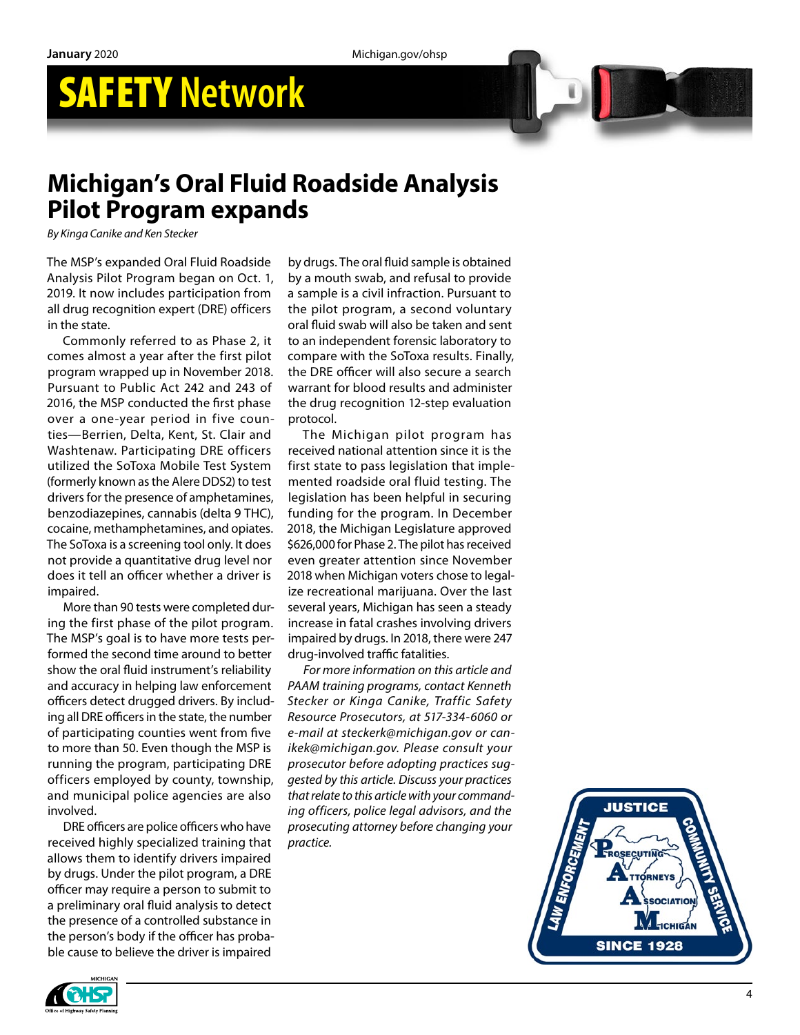## SAFETY **Network**



### **Michigan's Oral Fluid Roadside Analysis Pilot Program expands**

*By Kinga Canike and Ken Stecker*

The MSP's expanded Oral Fluid Roadside Analysis Pilot Program began on Oct. 1, 2019. It now includes participation from all drug recognition expert (DRE) officers in the state.

Commonly referred to as Phase 2, it comes almost a year after the first pilot program wrapped up in November 2018. Pursuant to Public Act 242 and 243 of 2016, the MSP conducted the first phase over a one-year period in five coun ties—Berrien, Delta, Kent, St. Clair and Washtenaw. Participating DRE officers utilized the SoToxa Mobile Test System (formerly known as the Alere DDS2) to test drivers for the presence of amphetamines, benzodiazepines, cannabis (delta 9 THC), cocaine, methamphetamines, and opiates. The SoToxa is a screening tool only. It does not provide a quantitative drug level nor does it tell an officer whether a driver is impaired.

More than 90 tests were completed dur ing the first phase of the pilot program. The MSP's goal is to have more tests per formed the second time around to better show the oral fluid instrument's reliability and accuracy in helping law enforcement officers detect drugged drivers. By includ ing all DRE officers in the state, the number of participating counties went from five to more than 50. Even though the MSP is running the program, participating DRE officers employed by county, township, and municipal police agencies are also involved.

DRE officers are police officers who have received highly specialized training that allows them to identify drivers impaired by drugs. Under the pilot program, a DRE officer may require a person to submit to a preliminary oral fluid analysis to detect the presence of a controlled substance in the person's body if the officer has proba ble cause to believe the driver is impaired

by drugs. The oral fluid sample is obtained by a mouth swab, and refusal to provide a sample is a civil infraction. Pursuant to the pilot program, a second voluntary oral fluid swab will also be taken and sent to an independent forensic laboratory to compare with the SoToxa results. Finally, the DRE officer will also secure a search warrant for blood results and administer the drug recognition 12-step evaluation protocol.

The Michigan pilot program has received national attention since it is the first state to pass legislation that imple mented roadside oral fluid testing. The legislation has been helpful in securing funding for the program. In December 2018, the Michigan Legislature approved \$626,000 for Phase 2. The pilot has received even greater attention since November 2018 when Michigan voters chose to legal ize recreational marijuana. Over the last several years, Michigan has seen a steady increase in fatal crashes involving drivers impaired by drugs. In 2018, there were 247 drug-involved traffic fatalities.

*For more information on this article and PAAM training programs, contact Kenneth Stecker or Kinga Canike, Traffic Safety Resource Prosecutors, at 517-334-6060 or e-mail at steckerk@michigan.gov or can ikek@michigan.gov. Please consult your prosecutor before adopting practices sug gested by this article. Discuss your practices that relate to this article with your command ing officers, police legal advisors, and the prosecuting attorney before changing your practice.*



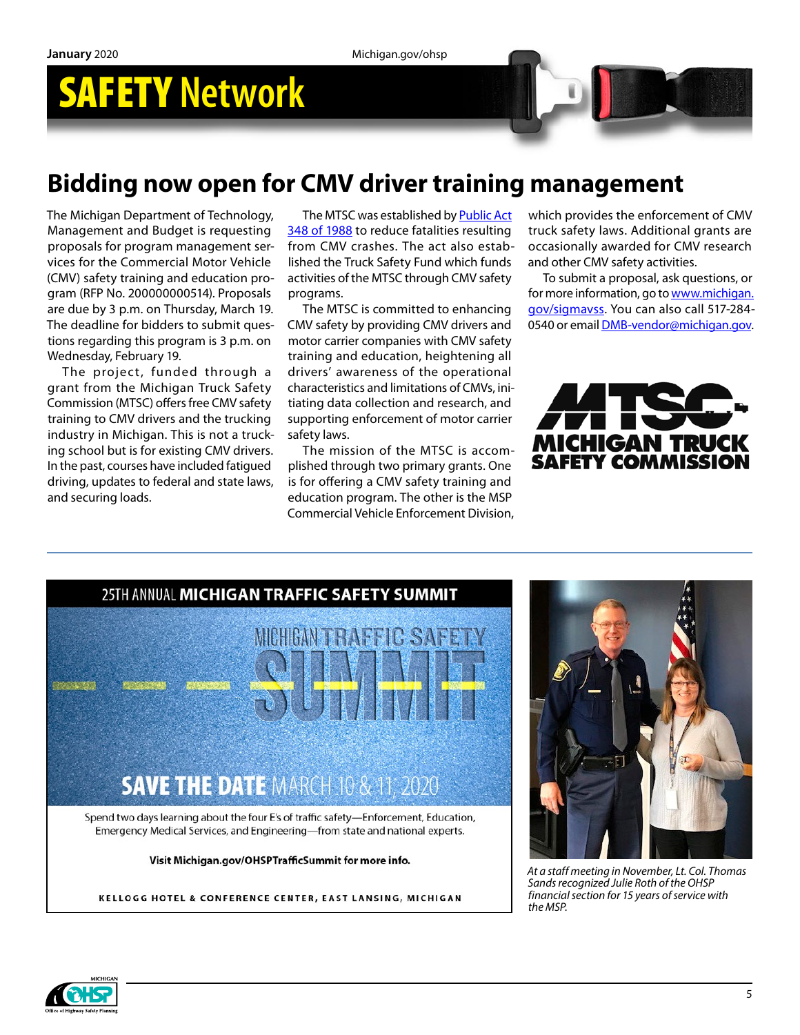## SAFETY **Network**

### **Bidding now open for CMV driver training management**

The Michigan Department of Technology, Management and Budget is requesting proposals for program management services for the Commercial Motor Vehicle (CMV) safety training and education program (RFP No. 200000000514). Proposals are due by 3 p.m. on Thursday, March 19. The deadline for bidders to submit questions regarding this program is 3 p.m. on Wednesday, February 19.

The project, funded through a grant from the Michigan Truck Safety Commission (MTSC) offers free CMV safety training to CMV drivers and the trucking industry in Michigan. This is not a trucking school but is for existing CMV drivers. In the past, courses have included fatigued driving, updates to federal and state laws, and securing loads.

The MTSC was established by **Public Act** [348 of 1988](https://gcc01.safelinks.protection.outlook.com/?url=http%3A%2F%2Fwww.michigan.gov%2Fmsp%2F0%2C4643%2C7-123-1579_1665-13693--%2C00.html&data=02%7C01%7CRossJ7%40michigan.gov%7C8a7bcffecdc34264839508d78f91baa1%7Cd5fb7087377742ad966a892ef47225d1%7C0%7C0%7C637135728364995647&sdata=6Mrzall90bgrwmATfpfLOIXyDtMv1u0Z59nzeRBLcwM%3D&reserved=0) to reduce fatalities resulting from CMV crashes. The act also established the Truck Safety Fund which funds activities of the MTSC through CMV safety programs.

The MTSC is committed to enhancing CMV safety by providing CMV drivers and motor carrier companies with CMV safety training and education, heightening all drivers' awareness of the operational characteristics and limitations of CMVs, initiating data collection and research, and supporting enforcement of motor carrier safety laws.

The mission of the MTSC is accomplished through two primary grants. One is for offering a CMV safety training and education program. The other is the MSP Commercial Vehicle Enforcement Division, which provides the enforcement of CMV truck safety laws. Additional grants are occasionally awarded for CMV research and other CMV safety activities.

To submit a proposal, ask questions, or for more information, go to [www.michigan.](http://www.michigan.gov/sigmavss) [gov/sigmavss.](http://www.michigan.gov/sigmavss) You can also call 517-284- 0540 or email [DMB-vendor@michigan.gov](mailto:DMB-vendor@michigan.gov).





KELLOGG HOTEL & CONFERENCE CENTER, EAST LANSING, MICHIGAN



*At a staff meeting in November, Lt. Col. Thomas Sands recognized Julie Roth of the OHSP financial section for 15 years of service with the MSP.*

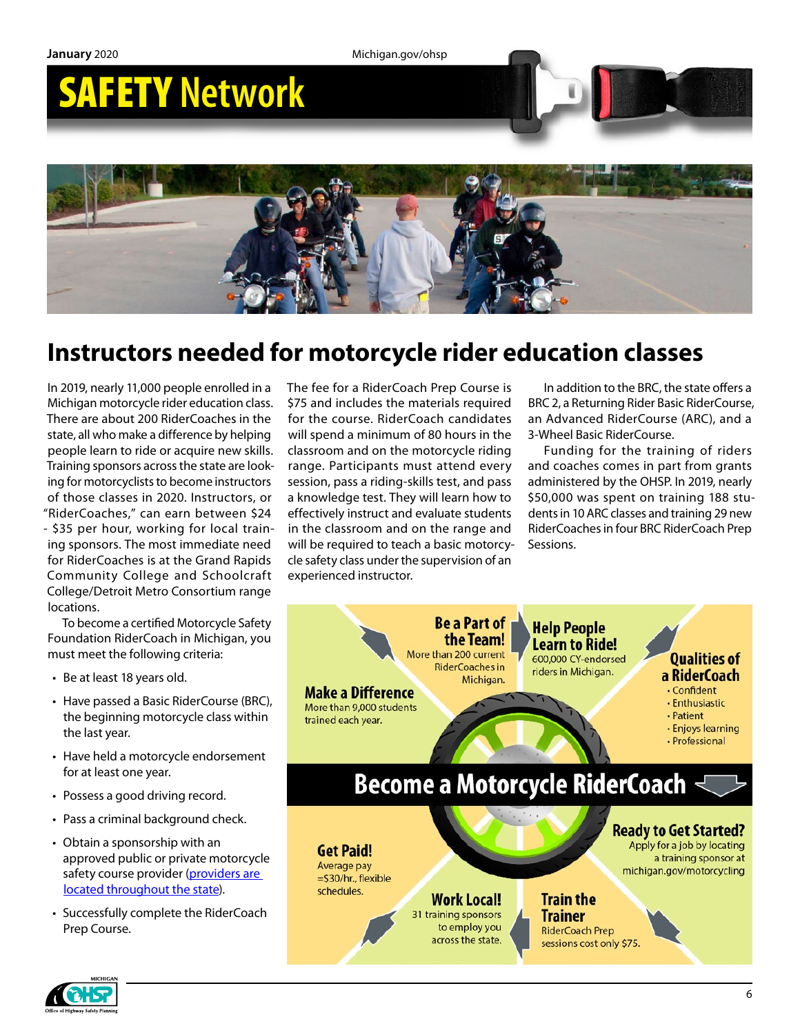

### **Instructors needed for motorcycle rider education classes**

In 2019, nearly 11,000 people enrolled in a Michigan motorcycle rider education class. There are about 200 RiderCoaches in the state, all who make a difference by helping people learn to ride or acquire new skills. Training sponsors across the state are looking for motorcyclists to become instructors of those classes in 2020. Instructors, or "RiderCoaches," can earn between \$24 - \$35 per hour, working for local training sponsors. The most immediate need for RiderCoaches is at the Grand Rapids Community College and Schoolcraft College/Detroit Metro Consortium range locations.

To become a certified Motorcycle Safety Foundation RiderCoach in Michigan, you must meet the following criteria:

- Be at least 18 years old.
- Have passed a Basic RiderCourse (BRC), the beginning motorcycle class within the last year.
- Have held a motorcycle endorsement for at least one year.
- Possess a good driving record.
- Pass a criminal background check.
- Obtain a sponsorship with an approved public or private motorcycle safety course provider (providers are [located throughout the state\)](https://www.michigan.gov/sos/0,4670,7-127-1627_46351_61092---,00.html).
- Successfully complete the RiderCoach Prep Course.

The fee for a RiderCoach Prep Course is \$75 and includes the materials required for the course. RiderCoach candidates will spend a minimum of 80 hours in the classroom and on the motorcycle riding range. Participants must attend every session, pass a riding-skills test, and pass a knowledge test. They will learn how to effectively instruct and evaluate students in the classroom and on the range and will be required to teach a basic motorcycle safety class under the supervision of an experienced instructor.

In addition to the BRC, the state offers a BRC 2, a Returning Rider Basic RiderCourse, an Advanced RiderCourse (ARC), and a 3-Wheel Basic RiderCourse.

Funding for the training of riders and coaches comes in part from grants administered by the OHSP. In 2019, nearly \$50,000 was spent on training 188 students in 10 ARC classes and training 29 new RiderCoaches in four BRC RiderCoach Prep Sessions.